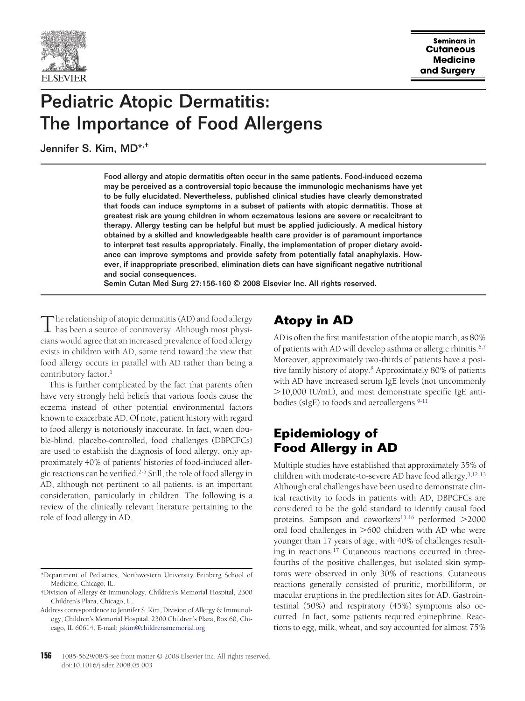

# Pediatric Atopic Dermatitis: The Importance of Food Allergens

Jennifer S. Kim, MD\*,†

Food allergy and atopic dermatitis often occur in the same patients. Food-induced eczema may be perceived as a controversial topic because the immunologic mechanisms have yet to be fully elucidated. Nevertheless, published clinical studies have clearly demonstrated that foods can induce symptoms in a subset of patients with atopic dermatitis. Those at greatest risk are young children in whom eczematous lesions are severe or recalcitrant to therapy. Allergy testing can be helpful but must be applied judiciously. A medical history obtained by a skilled and knowledgeable health care provider is of paramount importance to interpret test results appropriately. Finally, the implementation of proper dietary avoidance can improve symptoms and provide safety from potentially fatal anaphylaxis. However, if inappropriate prescribed, elimination diets can have significant negative nutritional and social consequences.

Semin Cutan Med Surg 27:156-160 © 2008 Elsevier Inc. All rights reserved.

The relationship of atopic dermatitis (AD) and food allergy<br>has been a source of controversy. Although most physicians would agree that an increased prevalence of food allergy exists in children with AD, some tend toward the view that food allergy occurs in parallel with AD rather than being a contributory factor.<sup>1</sup>

This is further complicated by the fact that parents often have very strongly held beliefs that various foods cause the eczema instead of other potential environmental factors known to exacerbate AD. Of note, patient history with regard to food allergy is notoriously inaccurate. In fact, when double-blind, placebo-controlled, food challenges (DBPCFCs) are used to establish the diagnosis of food allergy, only approximately 40% of patients' histories of food-induced allergic reactions can be verified[.2-5](#page-3-0) Still, the role of food allergy in AD, although not pertinent to all patients, is an important consideration, particularly in children. The following is a review of the clinically relevant literature pertaining to the role of food allergy in AD.

# **Atopy in AD**

AD is often the first manifestation of the atopic march, as 80% of patients with AD will develop asthma or allergic rhinitis.<sup>6,7</sup> Moreover, approximately two-thirds of patients have a positive family history of atopy[.8](#page-3-0) Approximately 80% of patients with AD have increased serum IgE levels (not uncommonly 10,000 IU/mL), and most demonstrate specific IgE antibodies (sIgE) to foods and aeroallergens.<sup>9-11</sup>

## **Epidemiology of Food Allergy in AD**

Multiple studies have established that approximately 35% of children with moderate-to-severe AD have food allergy[.3,12-13](#page-3-0) Although oral challenges have been used to demonstrate clinical reactivity to foods in patients with AD, DBPCFCs are considered to be the gold standard to identify causal food proteins. Sampson and coworkers $13-16$  performed  $>2000$ oral food challenges in  $>600$  children with AD who were younger than 17 years of age, with 40% of challenges resulting in reactions[.17](#page-3-0) Cutaneous reactions occurred in threefourths of the positive challenges, but isolated skin symptoms were observed in only 30% of reactions. Cutaneous reactions generally consisted of pruritic, morbilliform, or macular eruptions in the predilection sites for AD. Gastrointestinal (50%) and respiratory (45%) symptoms also occurred. In fact, some patients required epinephrine. Reactions to egg, milk, wheat, and soy accounted for almost 75%

<sup>\*</sup>Department of Pediatrics, Northwestern University Feinberg School of Medicine, Chicago, IL.

<sup>†</sup>Division of Allergy & Immunology, Children's Memorial Hospital, 2300 Children's Plaza, Chicago, IL.

Address correspondence to Jennifer S. Kim, Division of Allergy & Immunology, Children's Memorial Hospital, 2300 Children's Plaza, Box 60, Chicago, IL 60614. E-mail: [jskim@childrensmemorial.org](mailto:jskim@childrensmemorial.org)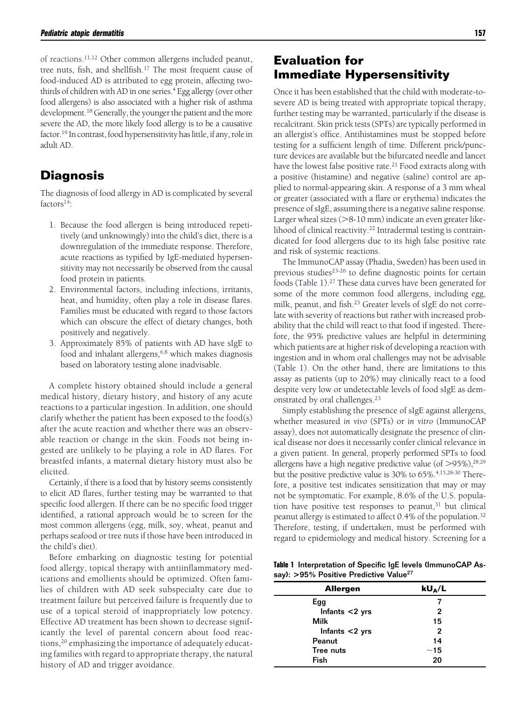of reactions[.11,12](#page-3-0) Other common allergens included peanut, tree nuts, fish, and shellfish.<sup>17</sup> The most frequent cause of food-induced AD is attributed to egg protein, affecting twothirds of children with AD in one series.<sup>4</sup> Egg allergy (over other food allergens) is also associated with a higher risk of asthma development.<sup>18</sup> Generally, the younger the patient and the more severe the AD, the more likely food allergy is to be a causative factor[.19](#page-3-0) In contrast, food hypersensitivity has little, if any, role in adult AD.

#### **Diagnosis**

The diagnosis of food allergy in AD is complicated by several  $factors<sup>14</sup>$ :

- 1. Because the food allergen is being introduced repetitively (and unknowingly) into the child's diet, there is a downregulation of the immediate response. Therefore, acute reactions as typified by IgE-mediated hypersensitivity may not necessarily be observed from the causal food protein in patients.
- 2. Environmental factors, including infections, irritants, heat, and humidity, often play a role in disease flares. Families must be educated with regard to those factors which can obscure the effect of dietary changes, both positively and negatively.
- 3. Approximately 85% of patients with AD have sIgE to food and inhalant allergens, $6,8$  which makes diagnosis based on laboratory testing alone inadvisable.

A complete history obtained should include a general medical history, dietary history, and history of any acute reactions to a particular ingestion. In addition, one should clarify whether the patient has been exposed to the food(s) after the acute reaction and whether there was an observable reaction or change in the skin. Foods not being ingested are unlikely to be playing a role in AD flares. For breastfed infants, a maternal dietary history must also be elicited.

Certainly, if there is a food that by history seems consistently to elicit AD flares, further testing may be warranted to that specific food allergen. If there can be no specific food trigger identified, a rational approach would be to screen for the most common allergens (egg, milk, soy, wheat, peanut and perhaps seafood or tree nuts if those have been introduced in the child's diet).

Before embarking on diagnostic testing for potential food allergy, topical therapy with antiinflammatory medications and emollients should be optimized. Often families of children with AD seek subspecialty care due to treatment failure but perceived failure is frequently due to use of a topical steroid of inappropriately low potency. Effective AD treatment has been shown to decrease significantly the level of parental concern about food reactions,<sup>20</sup> emphasizing the importance of adequately educating families with regard to appropriate therapy, the natural history of AD and trigger avoidance.

Once it has been established that the child with moderate-tosevere AD is being treated with appropriate topical therapy, further testing may be warranted, particularly if the disease is recalcitrant. Skin prick tests (SPTs) are typically performed in an allergist's office. Antihistamines must be stopped before testing for a sufficient length of time. Different prick/puncture devices are available but the bifurcated needle and lancet have the lowest false positive rate.<sup>21</sup> Food extracts along with a positive (histamine) and negative (saline) control are applied to normal-appearing skin. A response of a 3 mm wheal or greater (associated with a flare or erythema) indicates the presence of sIgE, assuming there is a negative saline response. Larger wheal sizes  $(>8-10$  mm) indicate an even greater likelihood of clinical reactivity.<sup>22</sup> Intradermal testing is contraindicated for food allergens due to its high false positive rate and risk of systemic reactions.

The ImmunoCAP assay (Phadia, Sweden) has been used in previous studies<sup>23-26</sup> to define diagnostic points for certain foods (Table 1)[.27](#page-3-0) These data curves have been generated for some of the more common food allergens, including egg, milk, peanut, and fish[.23](#page-3-0) Greater levels of sIgE do not correlate with severity of reactions but rather with increased probability that the child will react to that food if ingested. Therefore, the 95% predictive values are helpful in determining which patients are at higher risk of developing a reaction with ingestion and in whom oral challenges may not be advisable (Table 1). On the other hand, there are limitations to this assay as patients (up to 20%) may clinically react to a food despite very low or undetectable levels of food sIgE as demonstrated by oral challenges[.23](#page-3-0)

Simply establishing the presence of sIgE against allergens, whether measured *in vivo* (SPTs) or *in vitro* (ImmunoCAP assay), does not automatically designate the presence of clinical disease nor does it necessarily confer clinical relevance in a given patient. In general, properly performed SPTs to food allergens have a high negative predictive value (of  $>95\%$ ),<sup>28,29</sup> but the positive predictive value is 30% to 65%.<sup>4,15,28-30</sup> Therefore, a positive test indicates sensitization that may or may not be symptomatic. For example, 8.6% of the U.S. population have positive test responses to peanut, $31$  but clinical peanut allergy is estimated to affect 0.4% of the population[.32](#page-3-0) Therefore, testing, if undertaken, must be performed with regard to epidemiology and medical history. Screening for a

**Table 1** Interpretation of Specific IgE levels (ImmunoCAP Assay): **>**95% Positive Predictive Valu[e27](#page-3-0)

| <b>Allergen</b>   | $kU_A/L$     |  |  |
|-------------------|--------------|--|--|
| Egg               | 7            |  |  |
| Infants $<$ 2 yrs | 2            |  |  |
| Milk              | 15           |  |  |
| Infants $<$ 2 yrs | $\mathbf{2}$ |  |  |
| Peanut            | 14           |  |  |
| Tree nuts         | ~15          |  |  |
| Fish              | 20           |  |  |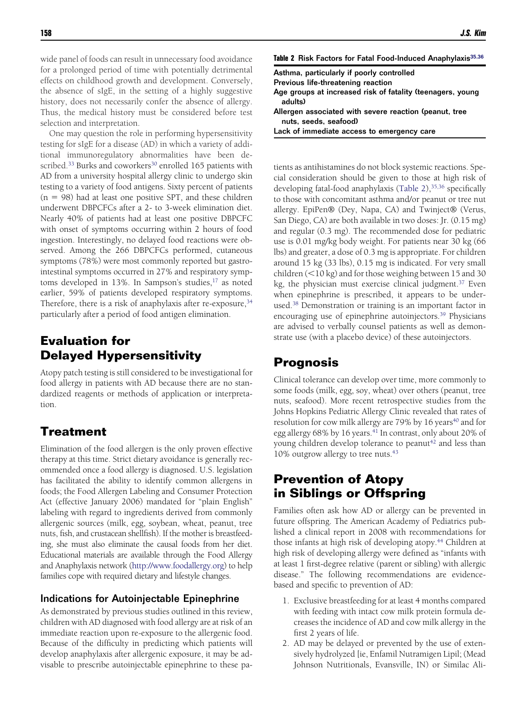wide panel of foods can result in unnecessary food avoidance for a prolonged period of time with potentially detrimental effects on childhood growth and development. Conversely, the absence of sIgE, in the setting of a highly suggestive history, does not necessarily confer the absence of allergy. Thus, the medical history must be considered before test selection and interpretation.

One may question the role in performing hypersensitivity testing for sIgE for a disease (AD) in which a variety of additional immunoregulatory abnormalities have been described.<sup>33</sup> Burks and coworkers<sup>30</sup> enrolled 165 patients with AD from a university hospital allergy clinic to undergo skin testing to a variety of food antigens. Sixty percent of patients  $(n = 98)$  had at least one positive SPT, and these children underwent DBPCFCs after a 2- to 3-week elimination diet. Nearly 40% of patients had at least one positive DBPCFC with onset of symptoms occurring within 2 hours of food ingestion. Interestingly, no delayed food reactions were observed. Among the 266 DBPCFCs performed, cutaneous symptoms (78%) were most commonly reported but gastrointestinal symptoms occurred in 27% and respiratory symptoms developed in  $13\%$ . In Sampson's studies,  $17$  as noted earlier, 59% of patients developed respiratory symptoms. Therefore, there is a risk of anaphylaxis after re-exposure,  $34$ particularly after a period of food antigen elimination.

## **Evaluation for Delayed Hypersensitivity**

Atopy patch testing is still considered to be investigational for food allergy in patients with AD because there are no standardized reagents or methods of application or interpretation.

#### **Treatment**

Elimination of the food allergen is the only proven effective therapy at this time. Strict dietary avoidance is generally recommended once a food allergy is diagnosed. U.S. legislation has facilitated the ability to identify common allergens in foods; the Food Allergen Labeling and Consumer Protection Act (effective January 2006) mandated for "plain English" labeling with regard to ingredients derived from commonly allergenic sources (milk, egg, soybean, wheat, peanut, tree nuts, fish, and crustacean shellfish). If the mother is breastfeeding, she must also eliminate the causal foods from her diet. Educational materials are available through the Food Allergy and Anaphylaxis network [\(http://www.foodallergy.org\)](http://www.foodallergy.org) to help families cope with required dietary and lifestyle changes.

#### Indications for Autoinjectable Epinephrine

As demonstrated by previous studies outlined in this review, children with AD diagnosed with food allergy are at risk of an immediate reaction upon re-exposure to the allergenic food. Because of the difficulty in predicting which patients will develop anaphylaxis after allergenic exposure, it may be advisable to prescribe autoinjectable epinephrine to these pa-

|  |  |  |  |  |  |  |  | Table 2 Risk Factors for Fatal Food-Induced Anaphylaxis <sup>35,36</sup> |
|--|--|--|--|--|--|--|--|--------------------------------------------------------------------------|
|--|--|--|--|--|--|--|--|--------------------------------------------------------------------------|

Asthma, particularly if poorly controlled

Previous life-threatening reaction

Age groups at increased risk of fatality (teenagers, young adults)

Allergen associated with severe reaction (peanut, tree nuts, seeds, seafood) Lack of immediate access to emergency care

tients as antihistamines do not block systemic reactions. Special consideration should be given to those at high risk of developing fatal-food anaphylaxis (Table 2), $35,36$  specifically to those with concomitant asthma and/or peanut or tree nut allergy. EpiPen® (Dey, Napa, CA) and Twinject® (Verus, San Diego, CA) are both available in two doses: Jr. (0.15 mg) and regular (0.3 mg). The recommended dose for pediatric use is 0.01 mg/kg body weight. For patients near 30 kg (66 lbs) and greater, a dose of 0.3 mg is appropriate. For children around 15 kg (33 lbs), 0.15 mg is indicated. For very small children  $(<$ 10 kg) and for those weighing between 15 and 30 kg, the physician must exercise clinical judgment. $37$  Even when epinephrine is prescribed, it appears to be underused[.38](#page-3-0) Demonstration or training is an important factor in encouraging use of epinephrine autoinjectors.<sup>39</sup> Physicians are advised to verbally counsel patients as well as demonstrate use (with a placebo device) of these autoinjectors.

### **Prognosis**

Clinical tolerance can develop over time, more commonly to some foods (milk, egg, soy, wheat) over others (peanut, tree nuts, seafood). More recent retrospective studies from the Johns Hopkins Pediatric Allergy Clinic revealed that rates of resolution for cow milk allergy are 79% by 16 years<sup>40</sup> and for egg allergy 68% by 16 years.<sup>41</sup> In contrast, only about 20% of young children develop tolerance to peanut<sup>42</sup> and less than 10% outgrow allergy to tree nuts[.43](#page-4-0)

### **Prevention of Atopy in Siblings or Offspring**

Families often ask how AD or allergy can be prevented in future offspring. The American Academy of Pediatrics published a clinical report in 2008 with recommendations for those infants at high risk of developing atopy.<sup>44</sup> Children at high risk of developing allergy were defined as "infants with at least 1 first-degree relative (parent or sibling) with allergic disease." The following recommendations are evidencebased and specific to prevention of AD:

- 1. Exclusive breastfeeding for at least 4 months compared with feeding with intact cow milk protein formula decreases the incidence of AD and cow milk allergy in the first 2 years of life.
- 2. AD may be delayed or prevented by the use of extensively hydrolyzed [ie, Enfamil Nutramigen Lipil; (Mead Johnson Nutritionals, Evansville, IN) or Similac Ali-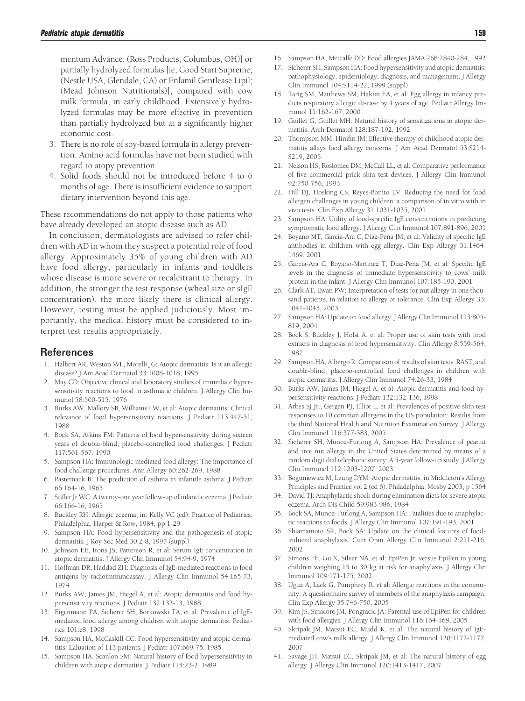<span id="page-3-0"></span>mentum Advance; (Ross Products, Columbus, OH)] or partially hydrolyzed formulas [ie, Good Start Supreme; (Nestle USA, Glendale, CA) or Enfamil Gentlease Lipil; (Mead Johnson Nutritionals)], compared with cow milk formula, in early childhood. Extensively hydrolyzed formulas may be more effective in prevention than partially hydrolyzed but at a significantly higher economic cost.

- 3. There is no role of soy-based formula in allergy prevention. Amino acid formulas have not been studied with regard to atopy prevention.
- 4. Solid foods should not be introduced before 4 to 6 months of age. There is insufficient evidence to support dietary intervention beyond this age.

These recommendations do not apply to those patients who have already developed an atopic disease such as AD.

In conclusion, dermatologists are advised to refer children with AD in whom they suspect a potential role of food allergy. Approximately 35% of young children with AD have food allergy, particularly in infants and toddlers whose disease is more severe or recalcitrant to therapy. In addition, the stronger the test response (wheal size or sIgE concentration), the more likely there is clinical allergy. However, testing must be applied judiciously. Most importantly, the medical history must be considered to interpret test results appropriately.

#### References

- 1. Halbert AR, Weston WL, Morelli JG: Atopic dermatitis: Is it an allergic disease? J Am Acad Dermatol 33:1008-1018, 1995
- 2. May CD: Objective clinical and laboratory studies of immediate hypersensitivity reactions to food in asthmatic children. J Allergy Clin Immunol 58:500-515, 1976
- 3. Burks AW, Mallory SB, Williams LW, et al: Atopic dermatitis: Clinical relevance of food hypersensitivity reactions. J Pediatr 113:447-51, 1988
- 4. Bock SA, Atkins FM: Patterns of food hypersensitivity during sixteen years of double-blind, placebo-controlled food challenges. J Pediatr 117:561-567, 1990
- 5. Sampson HA: Immunologic mediated food allergy: The importance of food challenge procedures. Ann Allergy 60:262-269, 1988
- 6. Pasternack B: The prediction of asthma in infantile asthma. J Pediatr 66:164-16, 1965
- 7. Stifler Jr WC: A twenty-one year follow-up of infantile eczema. J Pediatr 66:166-16, 1965
- 8. Buckley RH: Allergic eczema, in: Kelly VC (ed): Practice of Pediatrics. Philadelphia, Harper & Row, 1984, pp 1-29
- 9. Sampson HA: Food hypersensitivity and the pathogenesis of atopic dermatitis. J Roy Soc Med 30:2-8, 1997 (suppl)
- 10. Johnson EE, Irons JS, Pattereon R, et al: Serum IgE concentration in atopic dermatitis. J Allergy Clin Immunol 54:94-9, 1974
- 11. Hoffman DR, Haddad ZH: Diagnosis of IgE-mediated reactions to food antigens by radioimmunoassay. J Allergy Clin Immunol 54:165-73, 1974
- 12. Burks AW, James JM, Hiegel A, et al: Atopic dermatitis and food hypersensitivity reactions. J Pediatr 132:132-13, 1988
- 13. Eigenmann PA, Sicherer SH, Borkowski TA, et al: Prevalence of IgEmediated food allergy among children with atopic dermatitis. Pediatrics 101:e8, 1998
- 14. Sampson HA, McCaskill CC: Food hypersensitivity and atopic dermatitis: Ealuation of 113 patients. J Pediatr 107:669-75, 1985
- 15. Sampson HA, Scanlon SM: Natural history of food hypersensitivity in children with atopic dermatitis. J Pediatr 115:23-2, 1989
- 16. Sampson HA, Metcalfe DD: Food allergies JAMA 268:2840-284, 1992
- 17. Sicherer SH, Sampson HA: Food hypersensitivity and atopic dermatitis: pathophysiology, epidemiology, diagnosis, and management. J Allergy Clin Immunol 104:S114-22, 1999 (suppl)
- 18. Tarig SM, Matthews SM, Hakim EA, et al: Egg allergy in infancy predicts respiratory allergic disease by 4 years of age. Pediatr Allergy Immunol 11:162-167, 2000
- 19. Guillet G, Guillet MH: Natural history of sensitizations in atopic dermatitis. Arch Dermatol 128:187-192, 1992
- 20. Thompson MM, Hinifin JM: Effective therapy of childhood atopic dermatitis allays food allergy concerns. J Am Acad Dermatol 53:S214- S219, 2005
- 21. Nelson HS, Rosloniec DM, McCall LL, et al: Comparative performance of five commercial prick skin test devices. J Allergy Clin Immunol 92:750-756, 1993
- 22. Hill DJ, Hosking CS, Reyes-Bonito LV: Reducing the need for food allergen challenges in young children: a comparison of in vitro with in vivo tests. Clin Exp Allergy 31:1031-1035, 2001
- 23. Sampson HA: Utility of food-specific IgE concentrations in predicting symptomatic food allergy. J Allergy Clin Immunol 107:891-896, 2001
- 24. Boyano MT, Garcia-Ara C, Diaz-Pena JM, et al: Validity of specific IgE antibodies in children with egg allergy. Clin Exp Allergy 31:1464- 1469, 2001
- 25. Garcia-Ara C, Boyano-Martinez T, Diaz-Pena JM, et al: Specific IgE levels in the diagnosis of immediate hypersensitivity to cows' milk protein in the infant. J Allergy Clin Immunol 107:185-190, 2001
- 26. Clark AT, Ewan PW: Interpretation of tests for nut allergy in one thousand patients, in relation to allergy or tolerance. Clin Exp Allergy 33: 1041-1045, 2003
- 27. Sampson HA: Update on food allergy. J Allergy Clin Immunol 113:805- 819, 2004
- 28. Bock S, Buckley J, Holst A, et al: Proper use of skin tests with food extracts in diagnosis of food hypersensitivity. Clin Allergy 8:559-564, 1987
- 29. Sampson HA, Albergo R: Comparison of results of skin tests. RAST, and double-blind, placebo-controlled food challenges in children with atopic dermatitis. J Allergy Clin Immunol 74:26-33, 1984
- 30. Burks AW, James JM, Hiegel A, et al: Atopic dermatitis and food hypersensitivity reactions. J Pediatr 132:132-136, 1998
- 31. Arbes SJ Jr., Gergen PJ, Elliot L, et al: Prevalences of positive skin test responses to 10 common allergens in the US population: Results from the third National Health and Nutrition Examination Survey. J Allergy Clin Immunol 116:377-383, 2005
- 32. Sicherer SH, Munoz-Furlong A, Sampson HA: Prevalence of peanut and tree nut allergy in the United States determined by means of a random digit dial telephone survey: A 5-year follow-up study. J Allergy Clin Immunol 112:1203-1207, 2003
- 33. Boguniewicz M, Leung DYM: Atopic dermatitis. in Middleton's Allergy Principles and Practice vol 2 (ed 6). Philadelphia, Mosby 2003, p 1564
- 34. David TJ: Anaphylactic shock during elimination diets for severe atopic eczema. Arch Dis Child 59:983-986, 1984
- 35. Bock SA, Munoz-Furlong A, Sampson HA: Fatalities due to anaphylactic reactions to foods. J Allergy Clin Immunol 107:191-193, 2001
- 36. Shiamamoto SR, Bock SA: Update on the clinical features of foodinduced anaphylaxis. Curr Opin Allergy Clin Immunol 2:211-216, 2002
- 37. Simons FE, Gu X, Silver NA, et al: EpiPen Jr. versus EpiPen in young children weighing 15 to 30 kg at risk for anaphylaxis. J Allergy Clin Immunol 109:171-175, 2002
- 38. Uguz A, Lack G, Pumphrey R, et al: Allergic reactions in the community: A questionnaire survey of members of the anaphylaxis campaign. Clin Exp Allergy 35:746-750, 2005
- 39. Kim JS, Sinacore JM, Pongracic JA: Parental use of EpiPen for children with food allergies. J Allergy Clin Immunol 116:164-168, 2005
- 40. Skripak JM, Matsui EC, Mudd K, et al: The natural history of IgEmediated cow's milk allergy. J Allergy Clin Immunol 120:1172-1177, 2007
- 41. Savage JH, Matsui EC, Skripak JM, et al: The natural history of egg allergy. J Allergy Clin Immunol 120:1413-1417, 2007